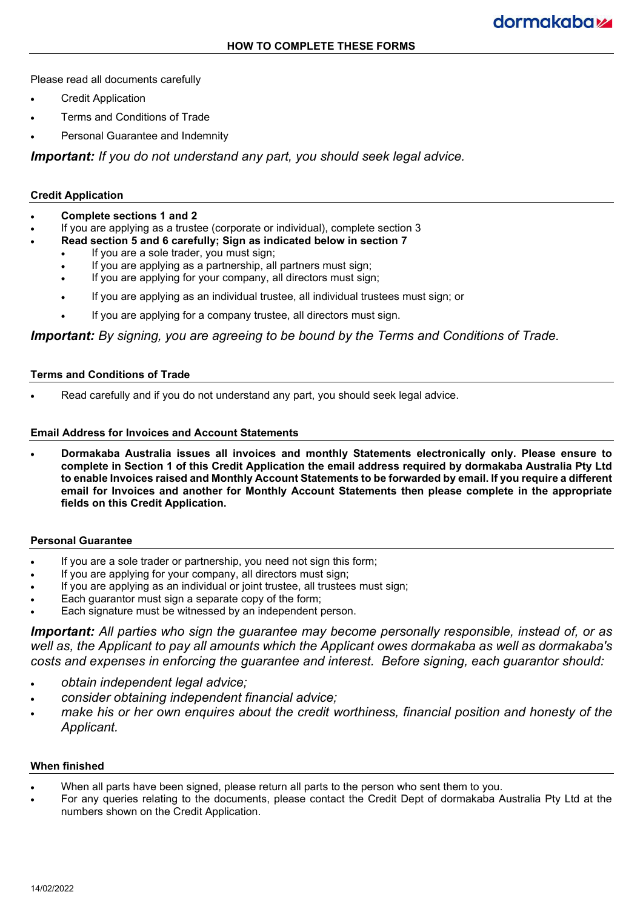Please read all documents carefully

- Credit Application
- Terms and Conditions of Trade
- Personal Guarantee and Indemnity

*Important: If you do not understand any part, you should seek legal advice.*

## **Credit Application**

- **Complete sections 1 and 2**
- If you are applying as a trustee (corporate or individual), complete section 3
	- **Read section 5 and 6 carefully; Sign as indicated below in section 7**
		- If you are a sole trader, you must sign;
		- If you are applying as a partnership, all partners must sign;
		- If you are applying for your company, all directors must sign;
		- If you are applying as an individual trustee, all individual trustees must sign; or
		- If you are applying for a company trustee, all directors must sign.

*Important: By signing, you are agreeing to be bound by the Terms and Conditions of Trade.*

#### **Terms and Conditions of Trade**

Read carefully and if you do not understand any part, you should seek legal advice.

#### **Email Address for Invoices and Account Statements**

• **Dormakaba Australia issues all invoices and monthly Statements electronically only. Please ensure to complete in Section 1 of this Credit Application the email address required by dormakaba Australia Pty Ltd to enable Invoices raised and Monthly Account Statements to be forwarded by email. If you require a different email for Invoices and another for Monthly Account Statements then please complete in the appropriate fields on this Credit Application.**

#### **Personal Guarantee**

- If you are a sole trader or partnership, you need not sign this form;
- If you are applying for your company, all directors must sign;
- If you are applying as an individual or joint trustee, all trustees must sign;
- Each guarantor must sign a separate copy of the form;
- Each signature must be witnessed by an independent person.

*Important: All parties who sign the guarantee may become personally responsible, instead of, or as well as, the Applicant to pay all amounts which the Applicant owes dormakaba as well as dormakaba's costs and expenses in enforcing the guarantee and interest. Before signing, each guarantor should:*

- *obtain independent legal advice;*
- *consider obtaining independent financial advice;*
- *make his or her own enquires about the credit worthiness, financial position and honesty of the Applicant.*

#### **When finished**

- When all parts have been signed, please return all parts to the person who sent them to you.
- For any queries relating to the documents, please contact the Credit Dept of dormakaba Australia Pty Ltd at the numbers shown on the Credit Application.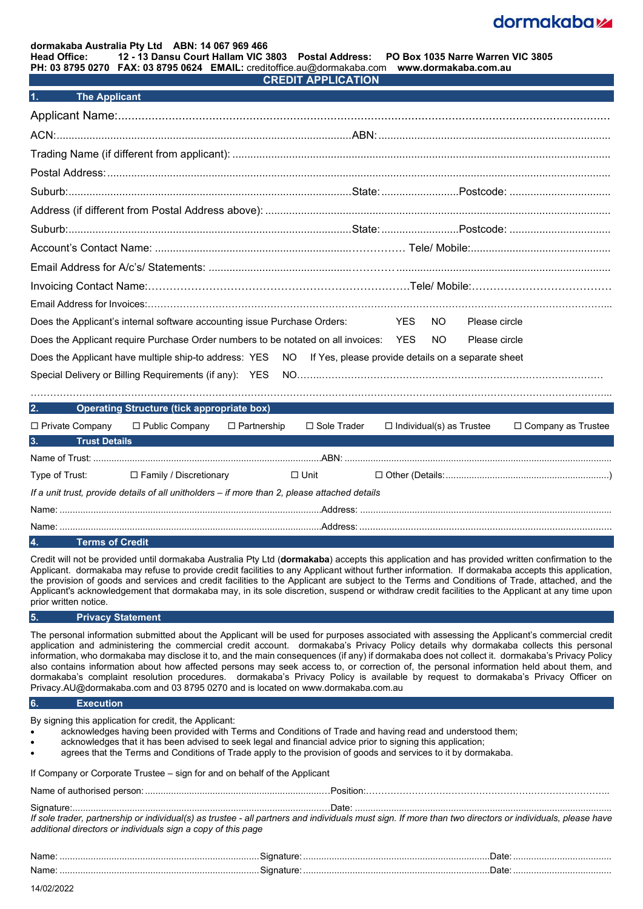## dormakabazz

# **dormakaba Australia Pty Ltd ABN: 14 067 969 466**

**Head Office: 12 - 13 Dansu Court Hallam VIC 3803 Postal Address: PO Box 1035 Narre Warren VIC 3805**

**PH: 03 8795 0270 FAX: 03 8795 0624 EMAIL:** creditoffice.au@dormakaba.com **www.dormakaba.com.au CREDIT APPLICATION**

| The Applicant <sup>1</sup> |  |
|----------------------------|--|

| Does the Applicant's internal software accounting issue Purchase Orders:                                    | YES<br>NO.<br>Please circle |
|-------------------------------------------------------------------------------------------------------------|-----------------------------|
| Does the Applicant require Purchase Order numbers to be notated on all invoices: YES NO                     | Please circle               |
| Does the Applicant have multiple ship-to address: YES NO If Yes, please provide details on a separate sheet |                             |
|                                                                                                             |                             |

|                                                                                               | 2. Operating Structure (tick appropriate box)                   |  |  |                                                    |                      |
|-----------------------------------------------------------------------------------------------|-----------------------------------------------------------------|--|--|----------------------------------------------------|----------------------|
|                                                                                               | $\Box$ Private Company $\Box$ Public Company $\Box$ Partnership |  |  | $\Box$ Sole Trader $\Box$ Individual(s) as Trustee | □ Company as Trustee |
| 3.500<br><b>Trust Details</b>                                                                 |                                                                 |  |  |                                                    |                      |
|                                                                                               |                                                                 |  |  |                                                    |                      |
|                                                                                               | Type of Trust: □ Family / Discretionary □ □ Unit                |  |  |                                                    |                      |
| If a unit trust, provide details of all unitholders - if more than 2, please attached details |                                                                 |  |  |                                                    |                      |
|                                                                                               |                                                                 |  |  |                                                    |                      |
|                                                                                               |                                                                 |  |  |                                                    |                      |

#### **4. Terms of Credit**

Credit will not be provided until dormakaba Australia Pty Ltd (**dormakaba**) accepts this application and has provided written confirmation to the Applicant. dormakaba may refuse to provide credit facilities to any Applicant without further information. If dormakaba accepts this application, the provision of goods and services and credit facilities to the Applicant are subject to the Terms and Conditions of Trade, attached, and the Applicant's acknowledgement that dormakaba may, in its sole discretion, suspend or withdraw credit facilities to the Applicant at any time upon prior written notice.

#### **5. Privacy Statement**

The personal information submitted about the Applicant will be used for purposes associated with assessing the Applicant's commercial credit application and administering the commercial credit account. dormakaba's Privacy Policy details why dormakaba collects this personal information, who dormakaba may disclose it to, and the main consequences (if any) if dormakaba does not collect it. dormakaba's Privacy Policy also contains information about how affected persons may seek access to, or correction of, the personal information held about them, and dormakaba's complaint resolution procedures. dormakaba's Privacy Policy is available by request to dormakaba's Privacy Officer on Privacy.AU@dormakaba.com and 03 8795 0270 and is located on www.dormakaba.com.au

#### **6. Execution**

By signing this application for credit, the Applicant:

- acknowledges having been provided with Terms and Conditions of Trade and having read and understood them;
- acknowledges that it has been advised to seek legal and financial advice prior to signing this application;
- agrees that the Terms and Conditions of Trade apply to the provision of goods and services to it by dormakaba.

| If Company or Corporate Trustee - sign for and on behalf of the Applicant |  |  |
|---------------------------------------------------------------------------|--|--|
|---------------------------------------------------------------------------|--|--|

|                                                                                                                                                          | ∴Date∴ |
|----------------------------------------------------------------------------------------------------------------------------------------------------------|--------|
| If sole trader, partnership or individual(s) as trustee - all partners and individuals must sign. If more than two directors or individuals, please have |        |
| additional directors or individuals sign a copy of this page                                                                                             |        |

|  | 7715 |
|--|------|
|  | 7715 |
|  |      |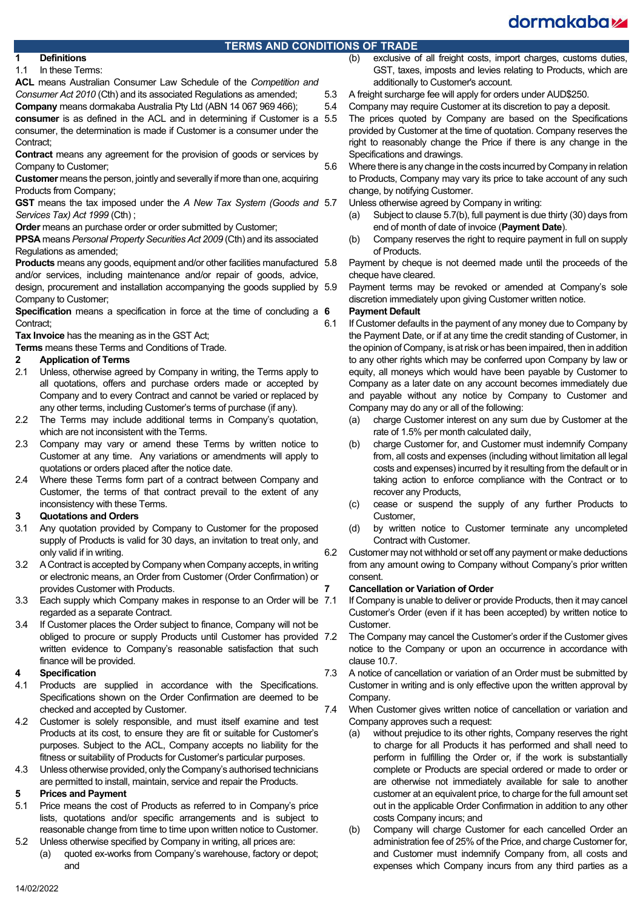# dormakaba<sub>k</sub>

# **TERMS AND CONDITIONS OF TRADE**<br>(b) exclusive o

# **1 Definitions**

In these Terms:

**ACL** means Australian Consumer Law Schedule of the *Competition and Consumer Act 2010* (Cth) and its associated Regulations as amended; **Company** means dormakaba Australia Pty Ltd (ABN 14 067 969 466);

**consumer** is as defined in the ACL and in determining if Customer is a 5.5 consumer, the determination is made if Customer is a consumer under the Contract:

**Contract** means any agreement for the provision of goods or services by Company to Customer;

**Customer** means the person, jointly and severally if more than one, acquiring Products from Company;

**GST** means the tax imposed under the *A New Tax System (Goods and Services Tax) Act 1999* (Cth) ;

**Order** means an purchase order or order submitted by Customer;

**PPSA** means *Personal Property Securities Act 2009* (Cth) and its associated Regulations as amended;

**Products** means any goods, equipment and/or other facilities manufactured 5.8 and/or services, including maintenance and/or repair of goods, advice,

design, procurement and installation accompanying the goods supplied by Company to Customer;

**Specification** means a specification in force at the time of concluding a 6 Contract;

**Tax Invoice** has the meaning as in the GST Act;

**Terms** means these Terms and Conditions of Trade.

## **2 Application of Terms**

- Unless, otherwise agreed by Company in writing, the Terms apply to all quotations, offers and purchase orders made or accepted by Company and to every Contract and cannot be varied or replaced by any other terms, including Customer's terms of purchase (if any).
- 2.2 The Terms may include additional terms in Company's quotation, which are not inconsistent with the Terms.
- 2.3 Company may vary or amend these Terms by written notice to Customer at any time. Any variations or amendments will apply to quotations or orders placed after the notice date.
- 2.4 Where these Terms form part of a contract between Company and Customer, the terms of that contract prevail to the extent of any inconsistency with these Terms.

## **3 Quotations and Orders**

- 3.1 Any quotation provided by Company to Customer for the proposed supply of Products is valid for 30 days, an invitation to treat only, and only valid if in writing.
- 3.2 A Contract is accepted by Company when Company accepts, in writing or electronic means, an Order from Customer (Order Confirmation) or provides Customer with Products.
- 3.3 Each supply which Company makes in response to an Order will be 7.1 regarded as a separate Contract.
- 3.4 If Customer places the Order subject to finance, Company will not be obliged to procure or supply Products until Customer has provided 7.2 written evidence to Company's reasonable satisfaction that such finance will be provided.

## **4 Specification**

- 4.1 Products are supplied in accordance with the Specifications. Specifications shown on the Order Confirmation are deemed to be checked and accepted by Customer.
- 4.2 Customer is solely responsible, and must itself examine and test Products at its cost, to ensure they are fit or suitable for Customer's purposes. Subject to the ACL, Company accepts no liability for the fitness or suitability of Products for Customer's particular purposes.
- 4.3 Unless otherwise provided, only the Company's authorised technicians are permitted to install, maintain, service and repair the Products.

## **5 Prices and Payment**

- 5.1 Price means the cost of Products as referred to in Company's price lists, quotations and/or specific arrangements and is subject to reasonable change from time to time upon written notice to Customer.
- 5.2 Unless otherwise specified by Company in writing, all prices are:
	- (a) quoted ex-works from Company's warehouse, factory or depot; and
- exclusive of all freight costs, import charges, customs duties, GST, taxes, imposts and levies relating to Products, which are additionally to Customer's account.
- 5.3 A freight surcharge fee will apply for orders under AUD\$250.
- 5.4 Company may require Customer at its discretion to pay a deposit.
	- The prices quoted by Company are based on the Specifications provided by Customer at the time of quotation. Company reserves the right to reasonably change the Price if there is any change in the Specifications and drawings.

5.6 Where there is any change in the costs incurred by Company in relation to Products, Company may vary its price to take account of any such change, by notifying Customer.

<span id="page-2-0"></span>Unless otherwise agreed by Company in writing:

- (a) Subject to claus[e 5.7](#page-2-0)[\(b\),](#page-2-1) full payment is due thirty (30) days from end of month of date of invoice (**Payment Date**).
- <span id="page-2-1"></span>(b) Company reserves the right to require payment in full on supply of Products.
- Payment by cheque is not deemed made until the proceeds of the cheque have cleared.

Payment terms may be revoked or amended at Company's sole discretion immediately upon giving Customer written notice.

## **6 Payment Default**

- 6.1 If Customer defaults in the payment of any money due to Company by the Payment Date, or if at any time the credit standing of Customer, in the opinion of Company, is at risk or has been impaired, then in addition to any other rights which may be conferred upon Company by law or equity, all moneys which would have been payable by Customer to Company as a later date on any account becomes immediately due and payable without any notice by Company to Customer and Company may do any or all of the following:
	- (a) charge Customer interest on any sum due by Customer at the rate of 1.5% per month calculated daily,
	- (b) charge Customer for, and Customer must indemnify Company from, all costs and expenses (including without limitation all legal costs and expenses) incurred by it resulting from the default or in taking action to enforce compliance with the Contract or to recover any Products,
	- (c) cease or suspend the supply of any further Products to Customer,
	- (d) by written notice to Customer terminate any uncompleted Contract with Customer.
- 6.2 Customer may not withhold or set off any payment or make deductions from any amount owing to Company without Company's prior written consent.

## **7 Cancellation or Variation of Order**

If Company is unable to deliver or provide Products, then it may cancel Customer's Order (even if it has been accepted) by written notice to Customer.

- The Company may cancel the Customer's order if the Customer gives notice to the Company or upon an occurrence in accordance with claus[e 10.7.](#page-3-0)
- 7.3 A notice of cancellation or variation of an Order must be submitted by Customer in writing and is only effective upon the written approval by Company.
- 7.4 When Customer gives written notice of cancellation or variation and Company approves such a request:
	- (a) without prejudice to its other rights, Company reserves the right to charge for all Products it has performed and shall need to perform in fulfilling the Order or, if the work is substantially complete or Products are special ordered or made to order or are otherwise not immediately available for sale to another customer at an equivalent price, to charge for the full amount set out in the applicable Order Confirmation in addition to any other costs Company incurs; and
	- (b) Company will charge Customer for each cancelled Order an administration fee of 25% of the Price, and charge Customer for, and Customer must indemnify Company from, all costs and expenses which Company incurs from any third parties as a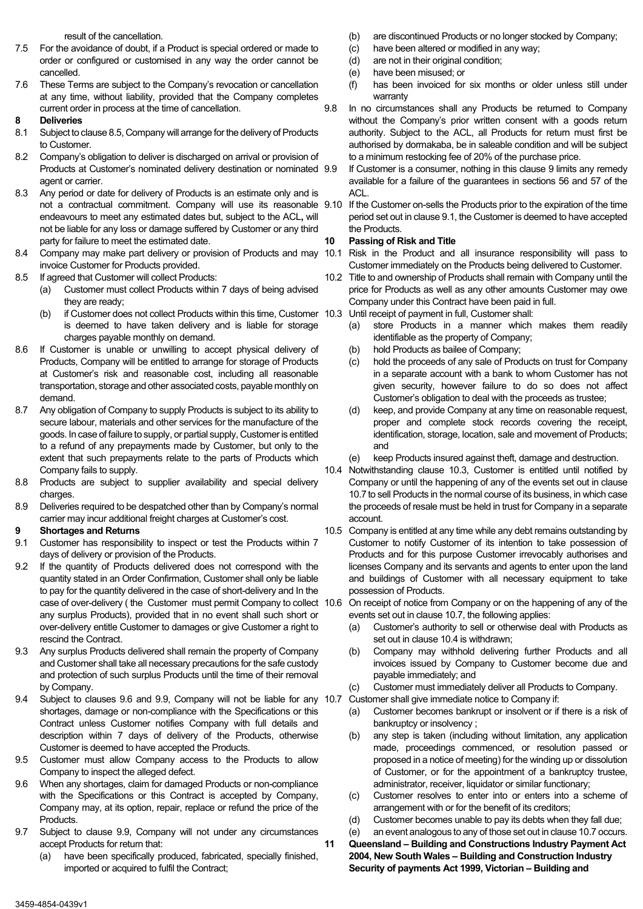result of the cancellation.

- 7.5 For the avoidance of doubt, if a Product is special ordered or made to order or configured or customised in any way the order cannot be cancelled.
- 7.6 These Terms are subject to the Company's revocation or cancellation at any time, without liability, provided that the Company completes current order in process at the time of cancellation.

#### **8 Deliveries**

- 8.1 Subject to claus[e 8.5,](#page-3-1) Company will arrange for the delivery of Products to Customer.
- 8.2 Company's obligation to deliver is discharged on arrival or provision of Products at Customer's nominated delivery destination or nominated 9.9 agent or carrier.
- 8.3 Any period or date for delivery of Products is an estimate only and is endeavours to meet any estimated dates but, subject to the ACL**,** will not be liable for any loss or damage suffered by Customer or any third party for failure to meet the estimated date.
- 8.4 Company may make part delivery or provision of Products and may 10.1 Risk in the Product and all insurance responsibility will pass to invoice Customer for Products provided.
- <span id="page-3-1"></span>8.5 If agreed that Customer will collect Products:
	- (a) Customer must collect Products within 7 days of being advised they are ready;
	- (b) if Customer does not collect Products within this time, Customer 10.3 is deemed to have taken delivery and is liable for storage charges payable monthly on demand.
- 8.6 If Customer is unable or unwilling to accept physical delivery of Products, Company will be entitled to arrange for storage of Products at Customer's risk and reasonable cost, including all reasonable transportation, storage and other associated costs, payable monthly on demand.
- 8.7 Any obligation of Company to supply Products is subject to its ability to secure labour, materials and other services for the manufacture of the goods. In case of failure to supply, or partial supply, Customer is entitled to a refund of any prepayments made by Customer, but only to the extent that such prepayments relate to the parts of Products which Company fails to supply.
- 8.8 Products are subject to supplier availability and special delivery charges.
- 8.9 Deliveries required to be despatched other than by Company's normal carrier may incur additional freight charges at Customer's cost.

#### <span id="page-3-4"></span>**9 Shortages and Returns**

- <span id="page-3-5"></span>9.1 Customer has responsibility to inspect or test the Products within 7 days of delivery or provision of the Products.
- 9.2 If the quantity of Products delivered does not correspond with the quantity stated in an Order Confirmation, Customer shall only be liable to pay for the quantity delivered in the case of short-delivery and In the case of over-delivery (the Customer must permit Company to collect 10.6 any surplus Products), provided that in no event shall such short or over-delivery entitle Customer to damages or give Customer a right to rescind the Contract.
- 9.3 Any surplus Products delivered shall remain the property of Company and Customer shall take all necessary precautions for the safe custody and protection of such surplus Products until the time of their removal by Company.
- 9.4 Subject to clauses [9.6](#page-3-2) and [9.9,](#page-3-3) Company will not be liable for any 10.7 shortages, damage or non-compliance with the Specifications or this Contract unless Customer notifies Company with full details and description within 7 days of delivery of the Products, otherwise Customer is deemed to have accepted the Products.
- 9.5 Customer must allow Company access to the Products to allow Company to inspect the alleged defect.
- <span id="page-3-2"></span>9.6 When any shortages, claim for damaged Products or non-compliance with the Specifications or this Contract is accepted by Company, Company may, at its option, repair, replace or refund the price of the Products.
- 9.7 Subject to clause [9.9,](#page-3-3) Company will not under any circumstances accept Products for return that:
	- (a) have been specifically produced, fabricated, specially finished, imported or acquired to fulfil the Contract;
- (b) are discontinued Products or no longer stocked by Company;
- (c) have been altered or modified in any way;
- (d) are not in their original condition;
- (e) have been misused; or
- (f) has been invoiced for six months or older unless still under warranty
- 9.8 In no circumstances shall any Products be returned to Company without the Company's prior written consent with a goods return authority. Subject to the ACL, all Products for return must first be authorised by dormakaba, be in saleable condition and will be subject to a minimum restocking fee of 20% of the purchase price.

<span id="page-3-3"></span>If Customer is a consumer, nothing in this clause [9](#page-3-4) limits any remedy available for a failure of the guarantees in sections 56 and 57 of the ACL.

not a contractual commitment. Company will use its reasonable 9.10 If the Customer on-sells the Products prior to the expiration of the time period set out in claus[e 9.1,](#page-3-5) the Customer is deemed to have accepted the Products.

## **10 Passing of Risk and Title**

- Customer immediately on the Products being delivered to Customer.
- <span id="page-3-6"></span>10.2 Title to and ownership of Products shall remain with Company until the price for Products as well as any other amounts Customer may owe Company under this Contract have been paid in full.
	- Until receipt of payment in full, Customer shall:
		- (a) store Products in a manner which makes them readily identifiable as the property of Company;
		- (b) hold Products as bailee of Company;
		- (c) hold the proceeds of any sale of Products on trust for Company in a separate account with a bank to whom Customer has not given security, however failure to do so does not affect Customer's obligation to deal with the proceeds as trustee;
		- (d) keep, and provide Company at any time on reasonable request, proper and complete stock records covering the receipt, identification, storage, location, sale and movement of Products; and
		- (e) keep Products insured against theft, damage and destruction.
- <span id="page-3-7"></span>10.4 Notwithstanding clause [10.3,](#page-3-6) Customer is entitled until notified by Company or until the happening of any of the events set out in clause [10.7t](#page-3-0)o sell Products in the normal course of its business, in which case the proceeds of resale must be held in trust for Company in a separate account.
- 10.5 Company is entitled at any time while any debt remains outstanding by Customer to notify Customer of its intention to take possession of Products and for this purpose Customer irrevocably authorises and licenses Company and its servants and agents to enter upon the land and buildings of Customer with all necessary equipment to take possession of Products.
- <span id="page-3-0"></span>On receipt of notice from Company or on the happening of any of the events set out in claus[e 10.7,](#page-3-0) the following applies:
	- (a) Customer's authority to sell or otherwise deal with Products as set out in claus[e 10.4](#page-3-7) is withdrawn;
	- (b) Company may withhold delivering further Products and all invoices issued by Company to Customer become due and payable immediately; and
	- (c) Customer must immediately deliver all Products to Company.
	- Customer shall give immediate notice to Company if:
		- (a) Customer becomes bankrupt or insolvent or if there is a risk of bankruptcy or insolvency ;
		- (b) any step is taken (including without limitation, any application made, proceedings commenced, or resolution passed or proposed in a notice of meeting) for the winding up or dissolution of Customer, or for the appointment of a bankruptcy trustee, administrator, receiver, liquidator or similar functionary;
		- (c) Customer resolves to enter into or enters into a scheme of arrangement with or for the benefit of its creditors;
		- (d) Customer becomes unable to pay its debts when they fall due;
		- (e) an event analogous to any of those set out in claus[e 10.7](#page-3-0) occurs.

**11 Queensland – Building and Constructions Industry Payment Act 2004, New South Wales – Building and Construction Industry Security of payments Act 1999, Victorian – Building and**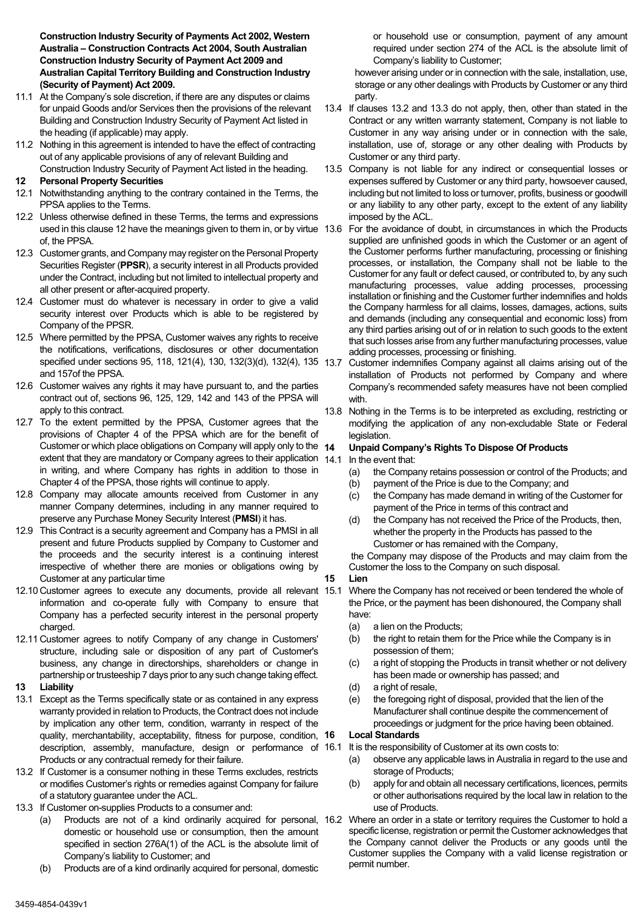**Construction Industry Security of Payments Act 2002, Western Australia – Construction Contracts Act 2004, South Australian Construction Industry Security of Payment Act 2009 and Australian Capital Territory Building and Construction Industry (Security of Payment) Act 2009.**

- 11.1 At the Company's sole discretion, if there are any disputes or claims for unpaid Goods and/or Services then the provisions of the relevant Building and Construction Industry Security of Payment Act listed in the heading (if applicable) may apply.
- 11.2 Nothing in this agreement is intended to have the effect of contracting out of any applicable provisions of any of relevant Building and Construction Industry Security of Payment Act listed in the heading.
- <span id="page-4-0"></span>**12 Personal Property Securities**
- 12.1 Notwithstanding anything to the contrary contained in the Terms, the PPSA applies to the Terms.
- 12.2 Unless otherwise defined in these Terms, the terms and expressions used in this claus[e 12](#page-4-0) have the meanings given to them in, or by virtue 13.6 of, the PPSA.
- 12.3 Customer grants, and Company may register on the Personal Property Securities Register (**PPSR**), a security interest in all Products provided under the Contract, including but not limited to intellectual property and all other present or after-acquired property.
- 12.4 Customer must do whatever is necessary in order to give a valid security interest over Products which is able to be registered by Company of the PPSR.
- 12.5 Where permitted by the PPSA, Customer waives any rights to receive the notifications, verifications, disclosures or other documentation specified under sections 95, 118, 121(4), 130, 132(3)(d), 132(4), 135 13.7 and 157of the PPSA.
- 12.6 Customer waives any rights it may have pursuant to, and the parties contract out of, sections 96, 125, 129, 142 and 143 of the PPSA will apply to this contract.
- 12.7 To the extent permitted by the PPSA, Customer agrees that the provisions of Chapter 4 of the PPSA which are for the benefit of Customer or which place obligations on Company will apply only to the 14 extent that they are mandatory or Company agrees to their application 14.1 in writing, and where Company has rights in addition to those in Chapter 4 of the PPSA, those rights will continue to apply.
- 12.8 Company may allocate amounts received from Customer in any manner Company determines, including in any manner required to preserve any Purchase Money Security Interest (**PMSI**) it has.
- 12.9 This Contract is a security agreement and Company has a PMSI in all present and future Products supplied by Company to Customer and the proceeds and the security interest is a continuing interest irrespective of whether there are monies or obligations owing by Customer at any particular time
- 12.10 Customer agrees to execute any documents, provide all relevant 15.1 Where the Company has not received or been tendered the whole of information and co-operate fully with Company to ensure that Company has a perfected security interest in the personal property charged.
- 12.11 Customer agrees to notify Company of any change in Customers' structure, including sale or disposition of any part of Customer's business, any change in directorships, shareholders or change in partnership or trusteeship 7 days prior to any such change taking effect.

#### **13 Liability**

- 13.1 Except as the Terms specifically state or as contained in any express warranty provided in relation to Products, the Contract does not include by implication any other term, condition, warranty in respect of the quality, merchantability, acceptability, fitness for purpose, condition, 16 description, assembly, manufacture, design or performance of 16.1 It is the responsibility of Customer at its own costs to: Products or any contractual remedy for their failure.
- <span id="page-4-1"></span>13.2 If Customer is a consumer nothing in these Terms excludes, restricts or modifies Customer's rights or remedies against Company for failure of a statutory guarantee under the ACL.
- <span id="page-4-2"></span>13.3 If Customer on-supplies Products to a consumer and:
	- domestic or household use or consumption, then the amount specified in section 276A(1) of the ACL is the absolute limit of Company's liability to Customer; and
	- (b) Products are of a kind ordinarily acquired for personal, domestic

or household use or consumption, payment of any amount required under section 274 of the ACL is the absolute limit of Company's liability to Customer;

however arising under or in connection with the sale, installation, use, storage or any other dealings with Products by Customer or any third party.

- 13.4 If clauses [13.2](#page-4-1) and [13.3](#page-4-2) do not apply, then, other than stated in the Contract or any written warranty statement, Company is not liable to Customer in any way arising under or in connection with the sale, installation, use of, storage or any other dealing with Products by Customer or any third party.
- 13.5 Company is not liable for any indirect or consequential losses or expenses suffered by Customer or any third party, howsoever caused, including but not limited to loss or turnover, profits, business or goodwill or any liability to any other party, except to the extent of any liability imposed by the ACL.
- For the avoidance of doubt, in circumstances in which the Products supplied are unfinished goods in which the Customer or an agent of the Customer performs further manufacturing, processing or finishing processes, or installation, the Company shall not be liable to the Customer for any fault or defect caused, or contributed to, by any such manufacturing processes, value adding processes, processing installation or finishing and the Customer further indemnifies and holds the Company harmless for all claims, losses, damages, actions, suits and demands (including any consequential and economic loss) from any third parties arising out of or in relation to such goods to the extent that such losses arise from any further manufacturing processes, value adding processes, processing or finishing.
- Customer indemnifies Company against all claims arising out of the installation of Products not performed by Company and where Company's recommended safety measures have not been complied with.
- 13.8 Nothing in the Terms is to be interpreted as excluding, restricting or modifying the application of any non-excludable State or Federal legislation.

## **14 Unpaid Company's Rights To Dispose Of Products**

In the event that:

- (a) the Company retains possession or control of the Products; and
- (b) payment of the Price is due to the Company; and
- (c) the Company has made demand in writing of the Customer for payment of the Price in terms of this contract and
- (d) the Company has not received the Price of the Products, then, whether the property in the Products has passed to the Customer or has remained with the Company,

the Company may dispose of the Products and may claim from the Customer the loss to the Company on such disposal.

## **15 Lien**

- the Price, or the payment has been dishonoured, the Company shall have:
	- (a) a lien on the Products;
	- (b) the right to retain them for the Price while the Company is in possession of them;
	- (c) a right of stopping the Products in transit whether or not delivery has been made or ownership has passed; and
	- (d) a right of resale,
	- (e) the foregoing right of disposal, provided that the lien of the Manufacturer shall continue despite the commencement of proceedings or judgment for the price having been obtained.

## **16 Local Standards**

- - (a) observe any applicable laws in Australia in regard to the use and storage of Products;
	- (b) apply for and obtain all necessary certifications, licences, permits or other authorisations required by the local law in relation to the use of Products.
- (a) Products are not of a kind ordinarily acquired for personal, 16.2 Where an order in a state or territory requires the Customer to hold a specific license, registration or permit the Customer acknowledges that the Company cannot deliver the Products or any goods until the Customer supplies the Company with a valid license registration or permit number.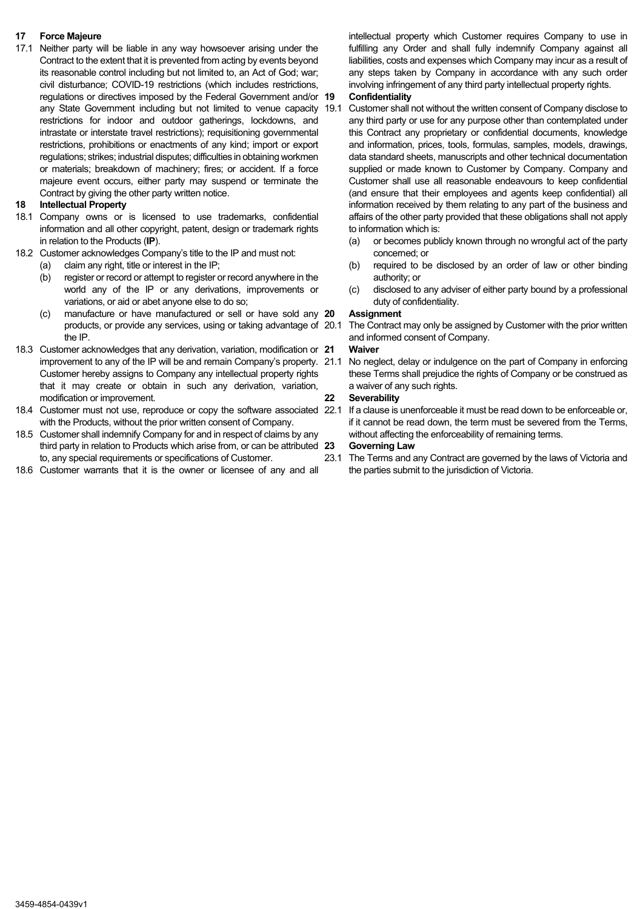## **17 Force Majeure**

17.1 Neither party will be liable in any way howsoever arising under the Contract to the extent that it is prevented from acting by events beyond its reasonable control including but not limited to, an Act of God; war; civil disturbance; COVID-19 restrictions (which includes restrictions, regulations or directives imposed by the Federal Government and/or 19 any State Government including but not limited to venue capacity 19.1 restrictions for indoor and outdoor gatherings, lockdowns, and intrastate or interstate travel restrictions); requisitioning governmental restrictions, prohibitions or enactments of any kind; import or export regulations; strikes; industrial disputes; difficulties in obtaining workmen or materials; breakdown of machinery; fires; or accident. If a force majeure event occurs, either party may suspend or terminate the Contract by giving the other party written notice.

## **18 Intellectual Property**

- 18.1 Company owns or is licensed to use trademarks, confidential information and all other copyright, patent, design or trademark rights in relation to the Products (**IP**).
- 18.2 Customer acknowledges Company's title to the IP and must not:
	- (a) claim any right, title or interest in the IP;
	- (b) register or record or attempt to register or record anywhere in the world any of the IP or any derivations, improvements or variations, or aid or abet anyone else to do so;
	- (c) manufacture or have manufactured or sell or have sold any products, or provide any services, using or taking advantage of 20.1 the IP.
- 18.3 Customer acknowledges that any derivation, variation, modification or 21 Customer hereby assigns to Company any intellectual property rights that it may create or obtain in such any derivation, variation, modification or improvement.
- 18.4 Customer must not use, reproduce or copy the software associated 22.1 If a clause is unenforceable it must be read down to be enforceable or, with the Products, without the prior written consent of Company.
- 18.5 Customer shall indemnify Company for and in respect of claims by any third party in relation to Products which arise from, or can be attributed 23 to, any special requirements or specifications of Customer.
- 18.6 Customer warrants that it is the owner or licensee of any and all

intellectual property which Customer requires Company to use in fulfilling any Order and shall fully indemnify Company against all liabilities, costs and expenses which Company may incur as a result of any steps taken by Company in accordance with any such order involving infringement of any third party intellectual property rights.

## **19 Confidentiality**

Customer shall not without the written consent of Company disclose to any third party or use for any purpose other than contemplated under this Contract any proprietary or confidential documents, knowledge and information, prices, tools, formulas, samples, models, drawings, data standard sheets, manuscripts and other technical documentation supplied or made known to Customer by Company. Company and Customer shall use all reasonable endeavours to keep confidential (and ensure that their employees and agents keep confidential) all information received by them relating to any part of the business and affairs of the other party provided that these obligations shall not apply to information which is:

- (a) or becomes publicly known through no wrongful act of the party concerned; or
- (b) required to be disclosed by an order of law or other binding authority; or
- (c) disclosed to any adviser of either party bound by a professional duty of confidentiality.

## **20 Assignment**

The Contract may only be assigned by Customer with the prior written and informed consent of Company.

## **21 Waiver**

improvement to any of the IP will be and remain Company's property. 21.1 No neglect, delay or indulgence on the part of Company in enforcing these Terms shall prejudice the rights of Company or be construed as a waiver of any such rights.

## **22 Severability**

if it cannot be read down, the term must be severed from the Terms, without affecting the enforceability of remaining terms.

#### **23 Governing Law**

23.1 The Terms and any Contract are governed by the laws of Victoria and the parties submit to the jurisdiction of Victoria.